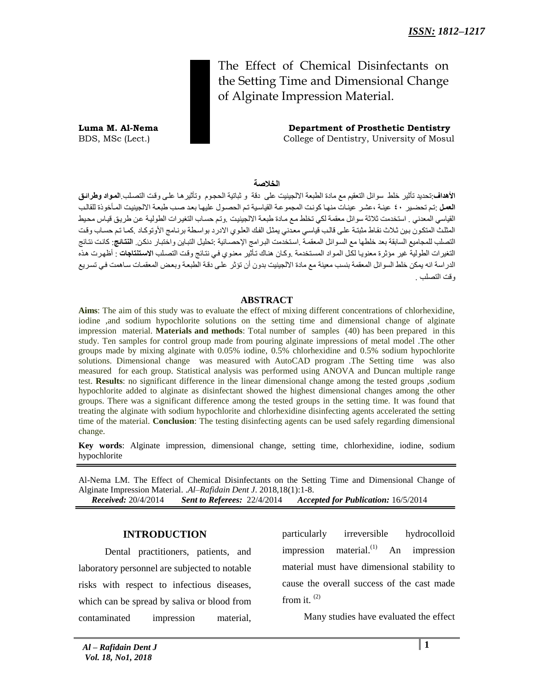The Effect of Chemical Disinfectants on the Setting Time and Dimensional Change of Alginate Impression Material.

**Luma M. Al-Nema Department of Prosthetic Dentistry**  BDS, MSc (Lect.) College of Dentistry, University of Mosul

**الخالصة**

**الأهداف**:تحديد تأثير خلط سوائل التعقيم مع مادة الطبعة الالجينيت على دقة و ثباتية الحجوم وتأثيرها على وقت التصلب ا**لمواد وطر**ائ**ق** ا**لعمل** :تم تحضير ٤٠ عينة ،عشر عينات منها كونت المجموعة القياسية تم الحصول عليها بعد صب طبعة الالجينيت المأخوذة للقالب القياسي المعدني . استخدمت ثلاثة سوائل معقمة لكي تخلط مع مادة طبعة الالجينيت .وتم حساب التغيرات الطولية عن طريق قياس محيط المثلث المتكون بين ثلاث نقاط مثبتة على قالب قياسي معدني يمثل الفك العلوي الادرد بواسطة برنامج الأوتوكاد كما تم حساب وقت التصلب للمجاميع السابقة بعد خلطها مع السوائل المعقمة .استخدمت البر امج الإحصـائية :تحليل التباين واختبار دنكن. ا**لنتائج**: كانت نتائج التغيرات الطولية غير مؤثرة معنويا لكل المواد المستخدمة وكان هناك تأثير معنوي في نتائج وقت التصلب الا**ستنتاجات** : أظهرت هذه الدر اسة انه يمكن خلط السوائل المعقمة بنسب معينة مع مادة الإلجينيت بدون أن تؤثر على دقية الطبعية و يعض المعقمات ساهمت في تسر بع وقت التصلب .

#### **ABSTRACT**

**Aims**: The aim of this study was to evaluate the effect of mixing different concentrations of chlorhexidine, iodine ,and sodium hypochlorite solutions on the setting time and dimensional change of alginate impression material. **Materials and methods**: Total number of samples (40) has been prepared in this study. Ten samples for control group made from pouring alginate impressions of metal model .The other groups made by mixing alginate with 0.05% iodine, 0.5% chlorhexidine and 0.5% sodium hypochlorite solutions. Dimensional change was measured with AutoCAD program .The Setting time was also measured for each group. Statistical analysis was performed using ANOVA and Duncan multiple range test. **Results**: no significant difference in the linear dimensional change among the tested groups ,sodium hypochlorite added to alginate as disinfectant showed the highest dimensional changes among the other groups. There was a significant difference among the tested groups in the setting time. It was found that treating the alginate with sodium hypochlorite and chlorhexidine disinfecting agents accelerated the setting time of the material. **Conclusion**: The testing disinfecting agents can be used safely regarding dimensional change.

**Key words**: Alginate impression, dimensional change, setting time, chlorhexidine, iodine, sodium hypochlorite

Al-Nema LM. The Effect of Chemical Disinfectants on the Setting Time and Dimensional Change of Alginate Impression Material. .*Al–Rafidain Dent J*. 2018,18(1):1-8.

 *Received:* 20/4/2014 *Sent to Referees:* 22/4/2014 *Accepted for Publication:* 16/5/2014

## **INTRODUCTION**

 Dental practitioners, patients, and laboratory personnel are subjected to notable risks with respect to infectious diseases, which can be spread by saliva or blood from contaminated impression material, particularly irreversible hydrocolloid impression material. $^{(1)}$  An impression material must have dimensional stability to cause the overall success of the cast made from it. (2)

Many studies have evaluated the effect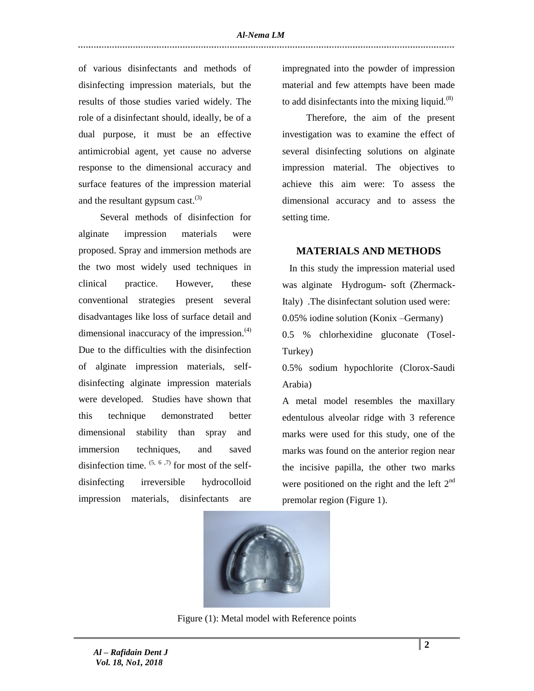of various disinfectants and methods of disinfecting impression materials, but the results of those studies varied widely. The role of a disinfectant should, ideally, be of a dual purpose, it must be an effective antimicrobial agent, yet cause no adverse response to the dimensional accuracy and surface features of the impression material and the resultant gypsum cast.<sup>(3)</sup>

 Several methods of disinfection for alginate impression materials were proposed. Spray and immersion methods are the two most widely used techniques in clinical practice. However, these conventional strategies present several disadvantages like loss of surface detail and dimensional inaccuracy of the impression. $(4)$ Due to the difficulties with the disinfection of alginate impression materials, selfdisinfecting alginate impression materials were developed. Studies have shown that this technique demonstrated better dimensional stability than spray and immersion techniques, and saved disinfection time.  $(5, 6, 7)$  for most of the selfdisinfecting irreversible hydrocolloid impression materials, disinfectants are

impregnated into the powder of impression material and few attempts have been made to add disinfectants into the mixing liquid. $(8)$ 

 Therefore, the aim of the present investigation was to examine the effect of several disinfecting solutions on alginate impression material. The objectives to achieve this aim were: To assess the dimensional accuracy and to assess the setting time.

#### **MATERIALS AND METHODS**

 In this study the impression material used was alginate Hydrogum**-** soft (Zhermack-Italy) .The disinfectant solution used were: 0.05% iodine solution (Konix –Germany) 0.5 % chlorhexidine gluconate (Tosel-

Turkey)

0.5% sodium hypochlorite (Clorox-Saudi Arabia)

A metal model resembles the maxillary edentulous alveolar ridge with 3 reference marks were used for this study, one of the marks was found on the anterior region near the incisive papilla, the other two marks were positioned on the right and the left  $2<sup>nd</sup>$ premolar region (Figure 1).



Figure (1): Metal model with Reference points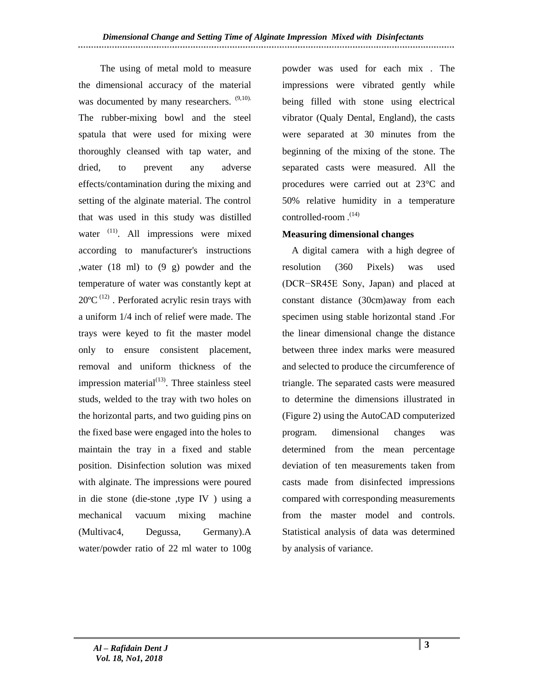The using of metal mold to measure the dimensional accuracy of the material was documented by many researchers.  $(9,10)$ . The rubber-mixing bowl and the steel spatula that were used for mixing were thoroughly cleansed with tap water, and dried, to prevent any adverse effects/contamination during the mixing and setting of the alginate material. The control that was used in this study was distilled water<sup>(11)</sup>. All impressions were mixed according to manufacturer's instructions ,water (18 ml) to (9 g) powder and the temperature of water was constantly kept at  $20^{\circ}$ C<sup>(12)</sup>. Perforated acrylic resin trays with a uniform 1/4 inch of relief were made. The trays were keyed to fit the master model only to ensure consistent placement, removal and uniform thickness of the impression material $(13)$ . Three stainless steel studs, welded to the tray with two holes on the horizontal parts, and two guiding pins on the fixed base were engaged into the holes to maintain the tray in a fixed and stable position. Disinfection solution was mixed with alginate. The impressions were poured in die stone (die-stone ,type IV ) using a mechanical vacuum mixing machine (Multivac4, Degussa, Germany).A water/powder ratio of 22 ml water to 100g

powder was used for each mix . The impressions were vibrated gently while being filled with stone using electrical vibrator (Qualy Dental, England), the casts were separated at 30 minutes from the beginning of the mixing of the stone. The separated casts were measured. All the procedures were carried out at 23°C and 50% relative humidity in a temperature controlled-room.<sup>(14)</sup>

## **Measuring dimensional changes**

 A digital camera with a high degree of resolution (360 Pixels) was used (DCR−SR45E Sony, Japan) and placed at constant distance (30cm)away from each specimen using stable horizontal stand .For the linear dimensional change the distance between three index marks were measured and selected to produce the circumference of triangle. The separated casts were measured to determine the dimensions illustrated in (Figure 2) using the AutoCAD computerized program. dimensional changes was determined from the mean percentage deviation of ten measurements taken from casts made from disinfected impressions compared with corresponding measurements from the master model and controls. Statistical analysis of data was determined by analysis of variance.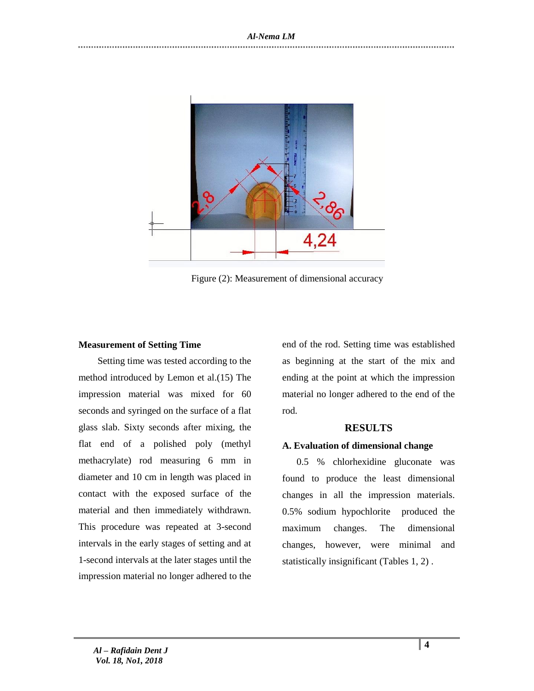

Figure (2): Measurement of dimensional accuracy

#### **Measurement of Setting Time**

 Setting time was tested according to the method introduced by Lemon et al.(15) The impression material was mixed for 60 seconds and syringed on the surface of a flat glass slab. Sixty seconds after mixing, the flat end of a polished poly (methyl methacrylate) rod measuring 6 mm in diameter and 10 cm in length was placed in contact with the exposed surface of the material and then immediately withdrawn. This procedure was repeated at 3-second intervals in the early stages of setting and at 1-second intervals at the later stages until the impression material no longer adhered to the

end of the rod. Setting time was established as beginning at the start of the mix and ending at the point at which the impression material no longer adhered to the end of the rod.

## **RESULTS**

## **A. Evaluation of dimensional change**

 0.5 % chlorhexidine gluconate was found to produce the least dimensional changes in all the impression materials. 0.5% sodium hypochlorite produced the maximum changes. The dimensional changes, however, were minimal and statistically insignificant (Tables 1, 2) .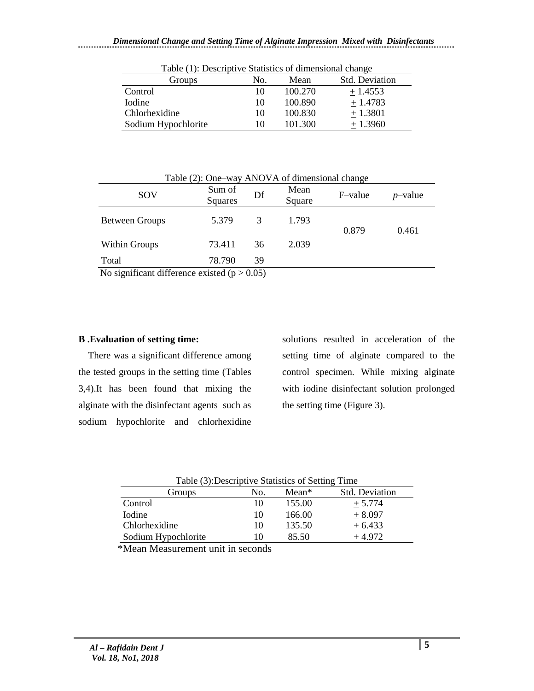| Table (1). Descriptive Statistics of difficultional change |     |         |                       |  |
|------------------------------------------------------------|-----|---------|-----------------------|--|
| Groups                                                     | No. | Mean    | <b>Std.</b> Deviation |  |
| Control                                                    | 10  | 100.270 | $+1.4553$             |  |
| <b>I</b> odine                                             | 10  | 100.890 | $+1.4783$             |  |
| Chlorhexidine                                              | 10  | 100.830 | $+1.3801$             |  |
| Sodium Hypochlorite                                        | 10  | 101.300 | $+1.3960$             |  |

Table (1): Descriptive Statistics of dimensional change

| Table (2): One–way ANOVA of dimensional change |                   |    |                |         |            |
|------------------------------------------------|-------------------|----|----------------|---------|------------|
| SOV                                            | Sum of<br>Squares | Df | Mean<br>Square | F-value | $p$ -value |
| <b>Between Groups</b>                          | 5.379             | 3  | 1.793          | 0.879   | 0.461      |
| Within Groups                                  | 73.411            | 36 | 2.039          |         |            |
| Total                                          | 78.790            | 39 |                |         |            |

No significant difference existed  $(p > 0.05)$ 

## **B .Evaluation of setting time:**

 There was a significant difference among the tested groups in the setting time (Tables 3,4).It has been found that mixing the alginate with the disinfectant agents such as sodium hypochlorite and chlorhexidine

solutions resulted in acceleration of the setting time of alginate compared to the control specimen. While mixing alginate with iodine disinfectant solution prolonged the setting time (Figure 3).

| Table (3): Descriptive Statistics of Setting Time |     |         |                       |  |
|---------------------------------------------------|-----|---------|-----------------------|--|
| Groups                                            | No. | $Mean*$ | <b>Std. Deviation</b> |  |
| Control                                           | 10  | 155.00  | $+5.774$              |  |
| <b>I</b> odine                                    | 10  | 166.00  | $+8.097$              |  |
| Chlorhexidine                                     | 10  | 135.50  | $+6.433$              |  |
| Sodium Hypochlorite                               | 10  | 85.50   | $+4.972$              |  |

\*Mean Measurement unit in seconds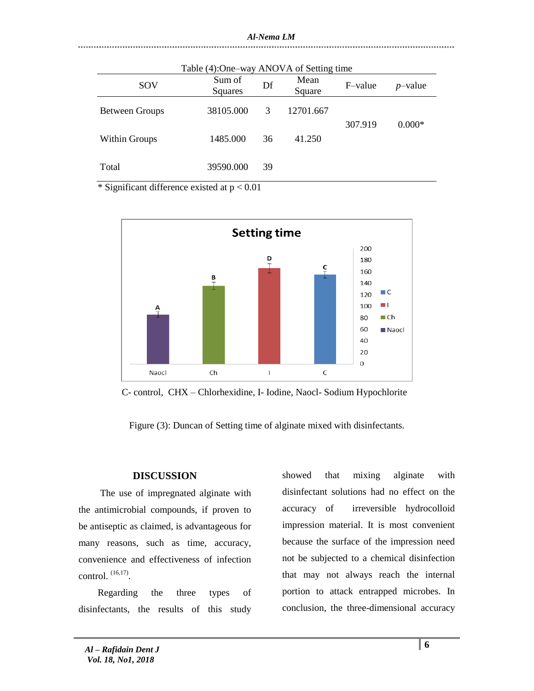| Table (4):One-way ANOVA of Setting time |                   |    |                |         |                 |  |
|-----------------------------------------|-------------------|----|----------------|---------|-----------------|--|
| SOV                                     | Sum of<br>Squares | Df | Mean<br>Square | F-value | <i>p</i> -value |  |
| <b>Between Groups</b>                   | 38105.000         | 3  | 12701.667      | 307.919 | $0.000*$        |  |
| Within Groups                           | 1485.000          | 36 | 41.250         |         |                 |  |
| Total                                   | 39590.000         | 39 |                |         |                 |  |

\* Significant difference existed at  $p < 0.01$ 



C- control, CHX – Chlorhexidine, I- Iodine, Naocl- Sodium Hypochlorite

Figure (3): Duncan of Setting time of alginate mixed with disinfectants.

# **DISCUSSION**

 The use of impregnated alginate with the antimicrobial compounds, if proven to be antiseptic as claimed, is advantageous for many reasons, such as time, accuracy, convenience and effectiveness of infection control.  $(16,17)$ .

 Regarding the three types of disinfectants, the results of this study showed that mixing alginate with disinfectant solutions had no effect on the accuracy of irreversible hydrocolloid impression material. It is most convenient because the surface of the impression need not be subjected to a chemical disinfection that may not always reach the internal portion to attack entrapped microbes. In conclusion, the three-dimensional accuracy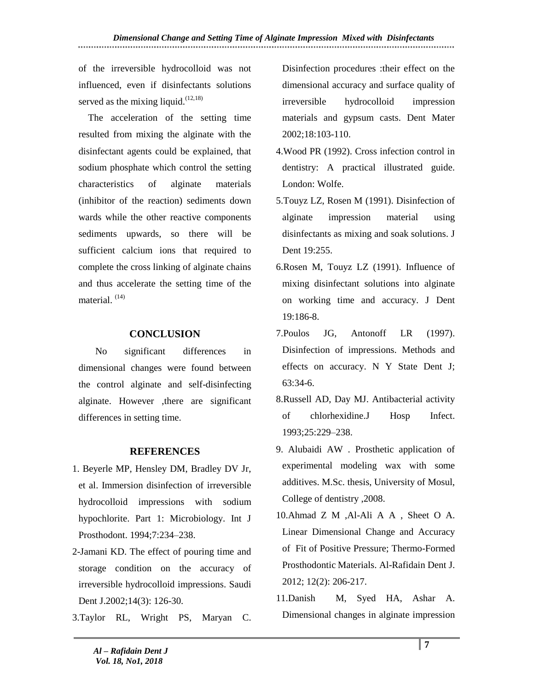of the irreversible hydrocolloid was not influenced, even if disinfectants solutions served as the mixing liquid. $(12,18)$ 

 The acceleration of the setting time resulted from mixing the alginate with the disinfectant agents could be explained, that sodium phosphate which control the setting characteristics of alginate materials (inhibitor of the reaction) sediments down wards while the other reactive components sediments upwards, so there will be sufficient calcium ions that required to complete the cross linking of alginate chains and thus accelerate the setting time of the material. (14)

## **CONCLUSION**

 No significant differences in dimensional changes were found between the control alginate and self-disinfecting alginate. However ,there are significant differences in setting time.

# **REFERENCES**

- 1. Beyerle MP, Hensley DM, Bradley DV Jr, et al. Immersion disinfection of irreversible hydrocolloid impressions with sodium hypochlorite. Part 1: Microbiology. Int J Prosthodont. 1994;7:234–238.
- 2-Jamani KD. The effect of pouring time and storage condition on the accuracy of irreversible hydrocolloid impressions. Saudi Dent J.2002;14(3): 126-30.
- 3.Taylor RL, Wright PS, Maryan C.

Disinfection procedures :their effect on the dimensional accuracy and surface quality of irreversible hydrocolloid impression materials and gypsum casts. Dent Mater 2002;18:103-110.

- 4.Wood PR (1992). Cross infection control in dentistry: A practical illustrated guide. London: Wolfe.
- 5.Touyz LZ, Rosen M (1991). Disinfection of alginate impression material using disinfectants as mixing and soak solutions. J Dent 19:255.
- 6.Rosen M, Touyz LZ (1991). Influence of mixing disinfectant solutions into alginate on working time and accuracy. J Dent 19:186-8.
- 7.Poulos JG, Antonoff LR (1997). Disinfection of impressions. Methods and effects on accuracy. N Y State Dent J; 63:34-6.
- 8.Russell AD, Day MJ. Antibacterial activity of chlorhexidine.J Hosp Infect. 1993;25:229–238.
- 9. Alubaidi AW . Prosthetic application of experimental modeling wax with some additives. M.Sc. thesis, University of Mosul, College of dentistry ,2008.
- 10.Ahmad Z M ,Al-Ali A A , Sheet O A. Linear Dimensional Change and Accuracy of Fit of Positive Pressure; Thermo-Formed Prosthodontic Materials. Al-Rafidain Dent J. 2012; 12(2): 206-217.
- 11.Danish M, Syed HA, Ashar A. Dimensional changes in alginate impression